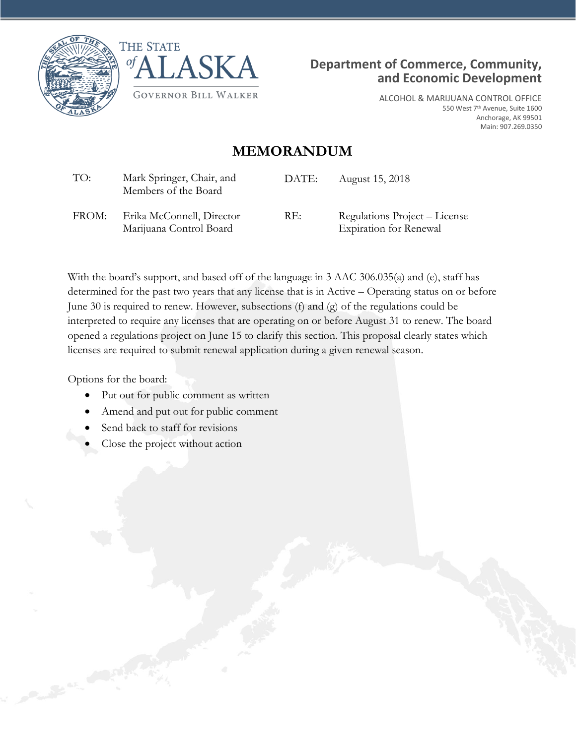





ALCOHOL & MARIJUANA CONTROL OFFICE 550 West 7th Avenue, Suite 1600 Anchorage, AK 99501 Main: 907.269.0350

## **MEMORANDUM**

| TO:   | Mark Springer, Chair, and<br>Members of the Board    | DATE: | August 15, 2018                                                |
|-------|------------------------------------------------------|-------|----------------------------------------------------------------|
| FROM: | Erika McConnell, Director<br>Marijuana Control Board | RE:   | Regulations Project – License<br><b>Expiration for Renewal</b> |

With the board's support, and based off of the language in 3 AAC 306.035(a) and (e), staff has determined for the past two years that any license that is in Active – Operating status on or before June 30 is required to renew. However, subsections (f) and (g) of the regulations could be interpreted to require any licenses that are operating on or before August 31 to renew. The board opened a regulations project on June 15 to clarify this section. This proposal clearly states which licenses are required to submit renewal application during a given renewal season.

Options for the board:

- Put out for public comment as written
- Amend and put out for public comment
- Send back to staff for revisions
- Close the project without action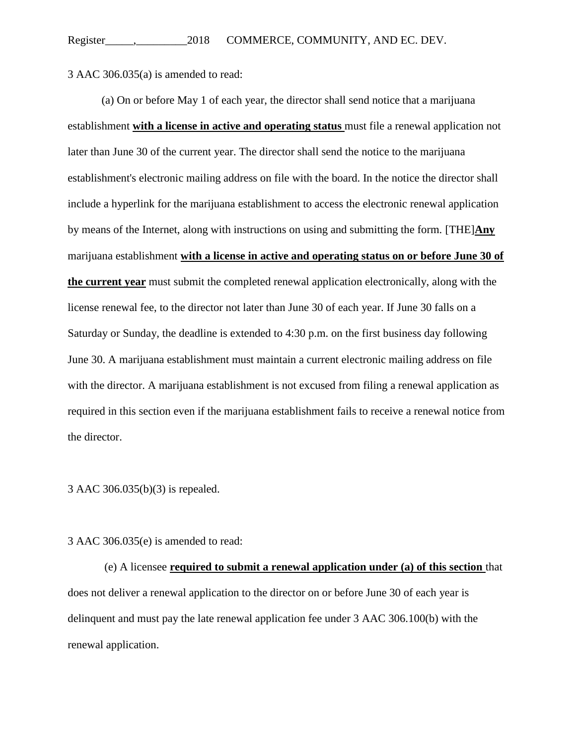3 AAC 306.035(a) is amended to read:

(a) On or before May 1 of each year, the director shall send notice that a marijuana establishment **with a license in active and operating status** must file a renewal application not later than June 30 of the current year. The director shall send the notice to the marijuana establishment's electronic mailing address on file with the board. In the notice the director shall include a hyperlink for the marijuana establishment to access the electronic renewal application by means of the Internet, along with instructions on using and submitting the form. [THE]**Any**  marijuana establishment **with a license in active and operating status on or before June 30 of the current year** must submit the completed renewal application electronically, along with the license renewal fee, to the director not later than June 30 of each year. If June 30 falls on a Saturday or Sunday, the deadline is extended to 4:30 p.m. on the first business day following June 30. A marijuana establishment must maintain a current electronic mailing address on file with the director. A marijuana establishment is not excused from filing a renewal application as required in this section even if the marijuana establishment fails to receive a renewal notice from the director.

## 3 AAC 306.035(b)(3) is repealed.

3 AAC 306.035(e) is amended to read:

(e) A licensee **required to submit a renewal application under (a) of this section** that does not deliver a renewal application to the director on or before June 30 of each year is delinquent and must pay the late renewal application fee under 3 AAC 306.100(b) with the renewal application.